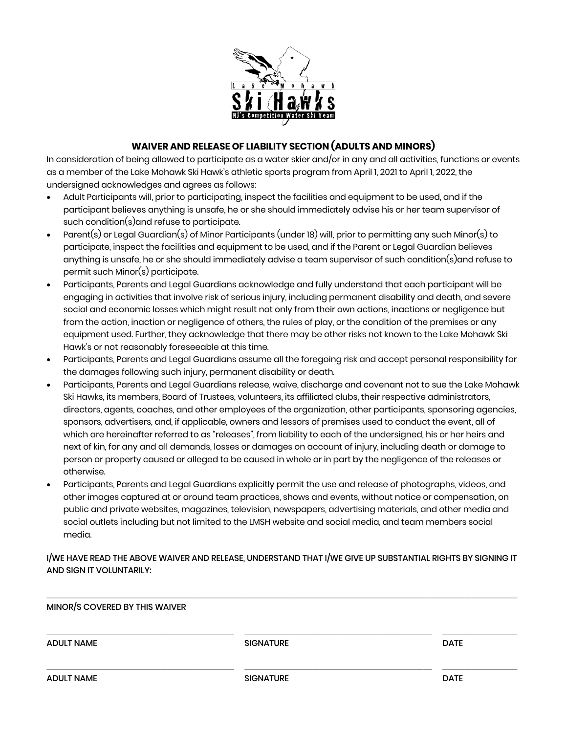

## **WAIVER AND RELEASE OF LIABILITY SECTION (ADULTS AND MINORS)**

In consideration of being allowed to participate as a water skier and/or in any and all activities, functions or events as a member of the Lake Mohawk Ski Hawk's athletic sports program from April 1, 2021 to April 1, 2022, the undersigned acknowledges and agrees as follows:

- Adult Participants will, prior to participating, inspect the facilities and equipment to be used, and if the participant believes anything is unsafe, he or she should immediately advise his or her team supervisor of such condition(s)and refuse to participate.
- Parent(s) or Legal Guardian(s) of Minor Participants (under 18) will, prior to permitting any such Minor(s) to participate, inspect the facilities and equipment to be used, and if the Parent or Legal Guardian believes anything is unsafe, he or she should immediately advise a team supervisor of such condition(s)and refuse to permit such Minor(s) participate.
- Participants, Parents and Legal Guardians acknowledge and fully understand that each participant will be engaging in activities that involve risk of serious injury, including permanent disability and death, and severe social and economic losses which might result not only from their own actions, inactions or negligence but from the action, inaction or negligence of others, the rules of play, or the condition of the premises or any equipment used. Further, they acknowledge that there may be other risks not known to the Lake Mohawk Ski Hawk's or not reasonably foreseeable at this time.
- Participants, Parents and Legal Guardians assume all the foregoing risk and accept personal responsibility for the damages following such injury, permanent disability or death.
- Participants, Parents and Legal Guardians release, waive, discharge and covenant not to sue the Lake Mohawk Ski Hawks, its members, Board of Trustees, volunteers, its affiliated clubs, their respective administrators, directors, agents, coaches, and other employees of the organization, other participants, sponsoring agencies, sponsors, advertisers, and, if applicable, owners and lessors of premises used to conduct the event, all of which are hereinafter referred to as "releases", from liability to each of the undersigned, his or her heirs and next of kin, for any and all demands, losses or damages on account of injury, including death or damage to person or property caused or alleged to be caused in whole or in part by the negligence of the releases or otherwise.
- Participants, Parents and Legal Guardians explicitly permit the use and release of photographs, videos, and other images captured at or around team practices, shows and events, without notice or compensation, on public and private websites, magazines, television, newspapers, advertising materials, and other media and social outlets including but not limited to the LMSH website and social media, and team members social media.

I/WE HAVE READ THE ABOVE WAIVER AND RELEASE, UNDERSTAND THAT I/WE GIVE UP SUBSTANTIAL RIGHTS BY SIGNING IT AND SIGN IT VOLUNTARILY:

\_\_\_\_\_\_\_\_\_\_\_\_\_\_\_\_\_\_\_\_\_\_\_\_\_\_\_\_\_\_\_\_\_\_\_\_\_\_\_\_\_\_\_\_\_\_\_\_\_\_\_\_\_\_\_\_\_\_\_\_\_\_\_\_\_\_\_\_\_\_\_\_\_\_\_\_\_\_\_\_\_\_\_\_\_\_\_\_\_\_\_\_\_\_\_\_\_\_\_\_\_\_\_\_\_\_\_\_\_\_\_\_\_

| MINOR/S COVERED BY THIS WAIVER |                  |             |
|--------------------------------|------------------|-------------|
| <b>ADULT NAME</b>              | <b>SIGNATURE</b> | <b>DATE</b> |
| <b>ADULT NAME</b>              | <b>SIGNATURE</b> | <b>DATE</b> |